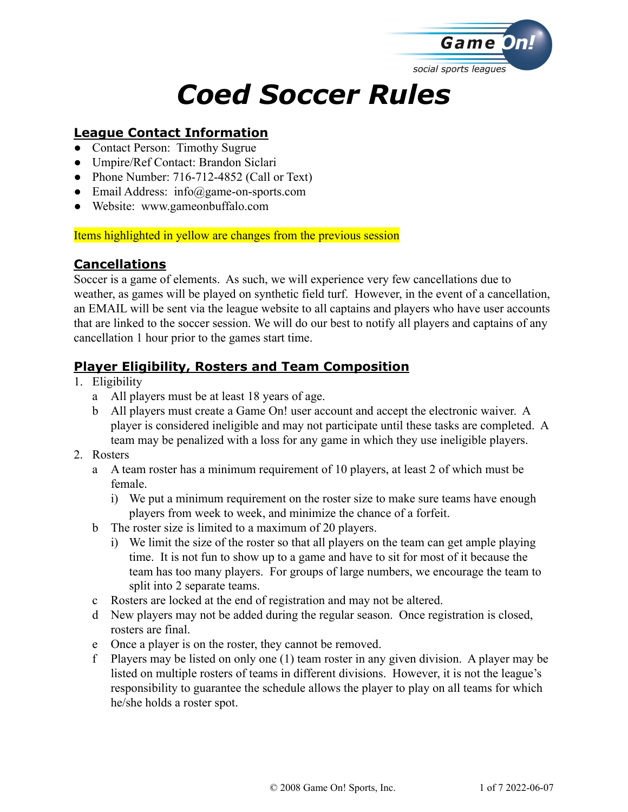

# *Coed Soccer Rules*

#### **League Contact Information**

- Contact Person: Timothy Sugrue
- Umpire/Ref Contact: Brandon Siclari
- Phone Number: 716-712-4852 (Call or Text)
- Email Address: info@game-on-sports.com
- Website: www.gameonbuffalo.com

Items highlighted in yellow are changes from the previous session

## **Cancellations**

Soccer is a game of elements. As such, we will experience very few cancellations due to weather, as games will be played on synthetic field turf. However, in the event of a cancellation, an EMAIL will be sent via the league website to all captains and players who have user accounts that are linked to the soccer session. We will do our best to notify all players and captains of any cancellation 1 hour prior to the games start time.

## **Player Eligibility, Rosters and Team Composition**

- 1. Eligibility
	- a All players must be at least 18 years of age.
	- b All players must create a Game On! user account and accept the electronic waiver. A player is considered ineligible and may not participate until these tasks are completed. A team may be penalized with a loss for any game in which they use ineligible players.
- 2. Rosters
	- a A team roster has a minimum requirement of 10 players, at least 2 of which must be female.
		- i) We put a minimum requirement on the roster size to make sure teams have enough players from week to week, and minimize the chance of a forfeit.
	- b The roster size is limited to a maximum of 20 players.
		- i) We limit the size of the roster so that all players on the team can get ample playing time. It is not fun to show up to a game and have to sit for most of it because the team has too many players. For groups of large numbers, we encourage the team to split into 2 separate teams.
	- c Rosters are locked at the end of registration and may not be altered.
	- d New players may not be added during the regular season. Once registration is closed, rosters are final.
	- e Once a player is on the roster, they cannot be removed.
	- f Players may be listed on only one (1) team roster in any given division. A player may be listed on multiple rosters of teams in different divisions. However, it is not the league's responsibility to guarantee the schedule allows the player to play on all teams for which he/she holds a roster spot.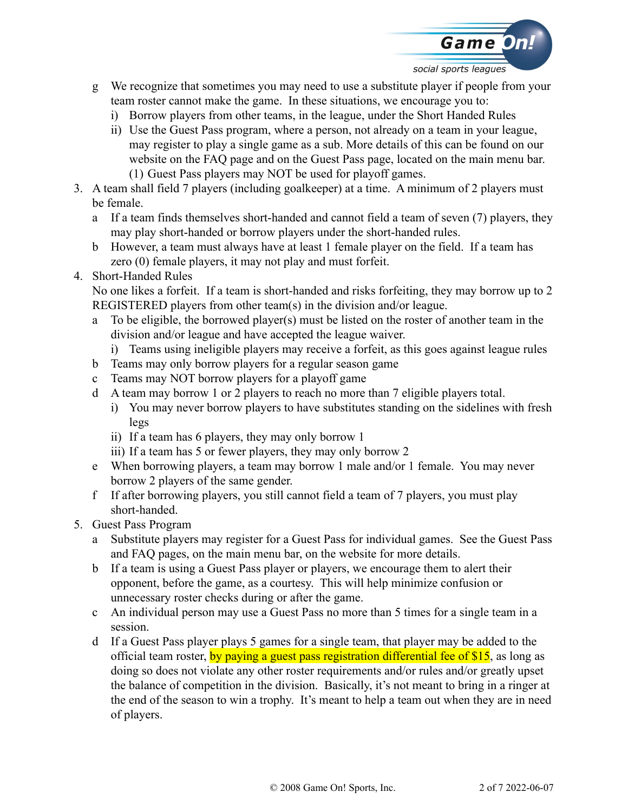

- g We recognize that sometimes you may need to use a substitute player if people from your team roster cannot make the game. In these situations, we encourage you to:
	- i) Borrow players from other teams, in the league, under the Short Handed Rules
	- ii) Use the Guest Pass program, where a person, not already on a team in your league, may register to play a single game as a sub. More details of this can be found on our website on the FAQ page and on the Guest Pass page, located on the main menu bar. (1) Guest Pass players may NOT be used for playoff games.
- 3. A team shall field 7 players (including goalkeeper) at a time. A minimum of 2 players must be female.
	- a If a team finds themselves short-handed and cannot field a team of seven (7) players, they may play short-handed or borrow players under the short-handed rules.
	- b However, a team must always have at least 1 female player on the field. If a team has zero (0) female players, it may not play and must forfeit.
- 4. Short-Handed Rules

No one likes a forfeit. If a team is short-handed and risks forfeiting, they may borrow up to 2 REGISTERED players from other team(s) in the division and/or league.

- a To be eligible, the borrowed player(s) must be listed on the roster of another team in the division and/or league and have accepted the league waiver.
	- i) Teams using ineligible players may receive a forfeit, as this goes against league rules
- b Teams may only borrow players for a regular season game
- c Teams may NOT borrow players for a playoff game
- d A team may borrow 1 or 2 players to reach no more than 7 eligible players total.
	- i) You may never borrow players to have substitutes standing on the sidelines with fresh legs
	- ii) If a team has 6 players, they may only borrow 1
	- iii) If a team has 5 or fewer players, they may only borrow 2
- e When borrowing players, a team may borrow 1 male and/or 1 female. You may never borrow 2 players of the same gender.
- f If after borrowing players, you still cannot field a team of 7 players, you must play short-handed.
- 5. Guest Pass Program
	- a Substitute players may register for a Guest Pass for individual games. See the Guest Pass and FAQ pages, on the main menu bar, on the website for more details.
	- b If a team is using a Guest Pass player or players, we encourage them to alert their opponent, before the game, as a courtesy. This will help minimize confusion or unnecessary roster checks during or after the game.
	- c An individual person may use a Guest Pass no more than 5 times for a single team in a session.
	- d If a Guest Pass player plays 5 games for a single team, that player may be added to the official team roster, by paying a guest pass registration differential fee of \$15, as long as doing so does not violate any other roster requirements and/or rules and/or greatly upset the balance of competition in the division. Basically, it's not meant to bring in a ringer at the end of the season to win a trophy. It's meant to help a team out when they are in need of players.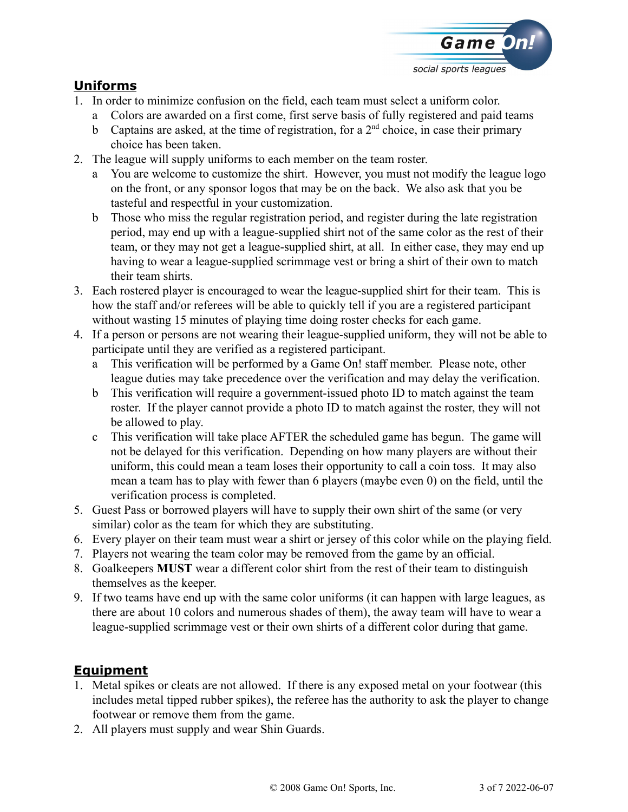

#### **Uniforms**

- 1. In order to minimize confusion on the field, each team must select a uniform color.
	- a Colors are awarded on a first come, first serve basis of fully registered and paid teams
	- b Captains are asked, at the time of registration, for a  $2<sup>nd</sup>$  choice, in case their primary choice has been taken.
- 2. The league will supply uniforms to each member on the team roster.
	- a You are welcome to customize the shirt. However, you must not modify the league logo on the front, or any sponsor logos that may be on the back. We also ask that you be tasteful and respectful in your customization.
	- b Those who miss the regular registration period, and register during the late registration period, may end up with a league-supplied shirt not of the same color as the rest of their team, or they may not get a league-supplied shirt, at all. In either case, they may end up having to wear a league-supplied scrimmage vest or bring a shirt of their own to match their team shirts.
- 3. Each rostered player is encouraged to wear the league-supplied shirt for their team. This is how the staff and/or referees will be able to quickly tell if you are a registered participant without wasting 15 minutes of playing time doing roster checks for each game.
- 4. If a person or persons are not wearing their league-supplied uniform, they will not be able to participate until they are verified as a registered participant.
	- a This verification will be performed by a Game On! staff member. Please note, other league duties may take precedence over the verification and may delay the verification.
	- b This verification will require a government-issued photo ID to match against the team roster. If the player cannot provide a photo ID to match against the roster, they will not be allowed to play.
	- c This verification will take place AFTER the scheduled game has begun. The game will not be delayed for this verification. Depending on how many players are without their uniform, this could mean a team loses their opportunity to call a coin toss. It may also mean a team has to play with fewer than 6 players (maybe even 0) on the field, until the verification process is completed.
- 5. Guest Pass or borrowed players will have to supply their own shirt of the same (or very similar) color as the team for which they are substituting.
- 6. Every player on their team must wear a shirt or jersey of this color while on the playing field.
- 7. Players not wearing the team color may be removed from the game by an official.
- 8. Goalkeepers **MUST** wear a different color shirt from the rest of their team to distinguish themselves as the keeper.
- 9. If two teams have end up with the same color uniforms (it can happen with large leagues, as there are about 10 colors and numerous shades of them), the away team will have to wear a league-supplied scrimmage vest or their own shirts of a different color during that game.

## **Equipment**

- 1. Metal spikes or cleats are not allowed. If there is any exposed metal on your footwear (this includes metal tipped rubber spikes), the referee has the authority to ask the player to change footwear or remove them from the game.
- 2. All players must supply and wear Shin Guards.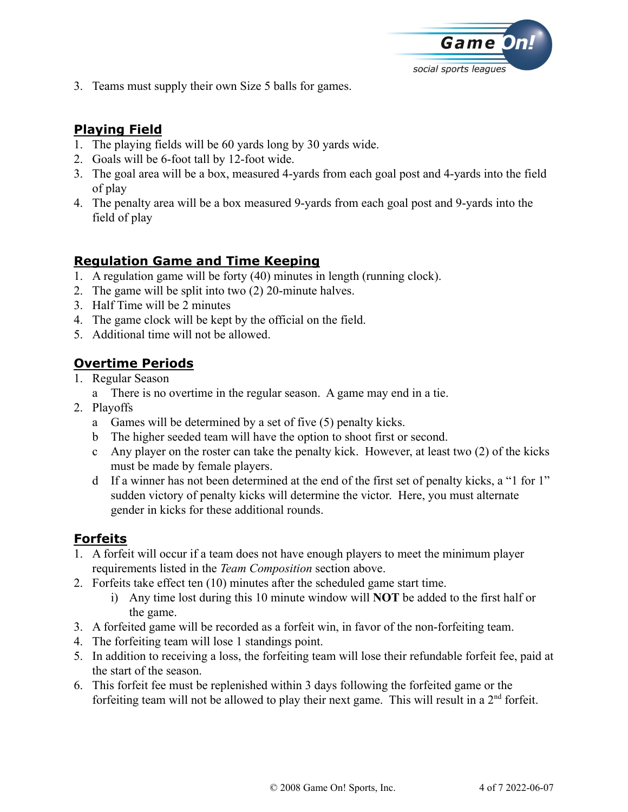

3. Teams must supply their own Size 5 balls for games.

# **Playing Field**

- 1. The playing fields will be 60 yards long by 30 yards wide.
- 2. Goals will be 6-foot tall by 12-foot wide.
- 3. The goal area will be a box, measured 4-yards from each goal post and 4-yards into the field of play
- 4. The penalty area will be a box measured 9-yards from each goal post and 9-yards into the field of play

## **Regulation Game and Time Keeping**

- 1. A regulation game will be forty (40) minutes in length (running clock).
- 2. The game will be split into two (2) 20-minute halves.
- 3. Half Time will be 2 minutes
- 4. The game clock will be kept by the official on the field.
- 5. Additional time will not be allowed.

# **Overtime Periods**

- 1. Regular Season
	- a There is no overtime in the regular season. A game may end in a tie.
- 2. Playoffs
	- a Games will be determined by a set of five (5) penalty kicks.
	- b The higher seeded team will have the option to shoot first or second.
	- c Any player on the roster can take the penalty kick. However, at least two (2) of the kicks must be made by female players.
	- d If a winner has not been determined at the end of the first set of penalty kicks, a "1 for 1" sudden victory of penalty kicks will determine the victor. Here, you must alternate gender in kicks for these additional rounds.

## **Forfeits**

- 1. A forfeit will occur if a team does not have enough players to meet the minimum player requirements listed in the *Team Composition* section above.
- 2. Forfeits take effect ten (10) minutes after the scheduled game start time.
	- i) Any time lost during this 10 minute window will **NOT** be added to the first half or the game.
- 3. A forfeited game will be recorded as a forfeit win, in favor of the non-forfeiting team.
- 4. The forfeiting team will lose 1 standings point.
- 5. In addition to receiving a loss, the forfeiting team will lose their refundable forfeit fee, paid at the start of the season.
- 6. This forfeit fee must be replenished within 3 days following the forfeited game or the forfeiting team will not be allowed to play their next game. This will result in a  $2<sup>nd</sup>$  forfeit.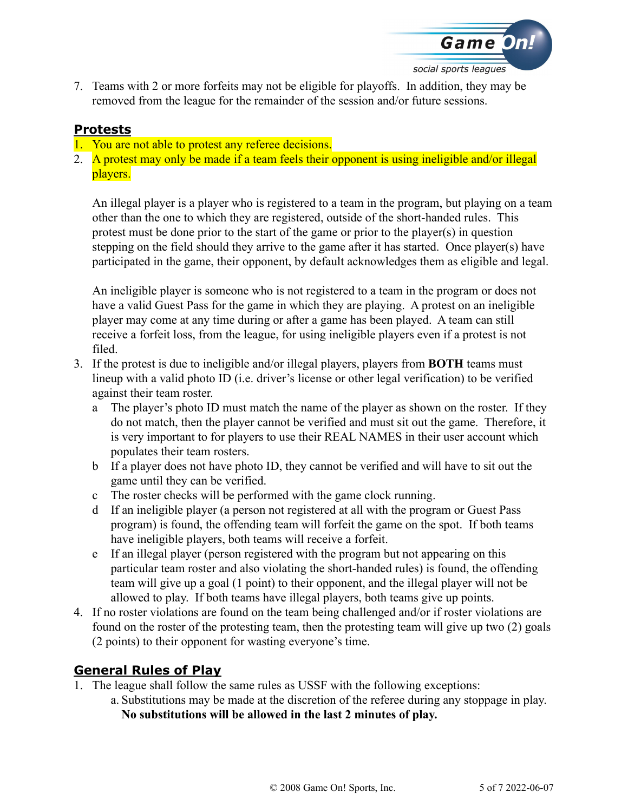

7. Teams with 2 or more forfeits may not be eligible for playoffs. In addition, they may be removed from the league for the remainder of the session and/or future sessions.

#### **Protests**

- 1. You are not able to protest any referee decisions.
- 2. A protest may only be made if a team feels their opponent is using ineligible and/or illegal players.

An illegal player is a player who is registered to a team in the program, but playing on a team other than the one to which they are registered, outside of the short-handed rules. This protest must be done prior to the start of the game or prior to the player(s) in question stepping on the field should they arrive to the game after it has started. Once player(s) have participated in the game, their opponent, by default acknowledges them as eligible and legal.

An ineligible player is someone who is not registered to a team in the program or does not have a valid Guest Pass for the game in which they are playing. A protest on an ineligible player may come at any time during or after a game has been played. A team can still receive a forfeit loss, from the league, for using ineligible players even if a protest is not filed.

- 3. If the protest is due to ineligible and/or illegal players, players from **BOTH** teams must lineup with a valid photo ID (i.e. driver's license or other legal verification) to be verified against their team roster.
	- a The player's photo ID must match the name of the player as shown on the roster. If they do not match, then the player cannot be verified and must sit out the game. Therefore, it is very important to for players to use their REAL NAMES in their user account which populates their team rosters.
	- b If a player does not have photo ID, they cannot be verified and will have to sit out the game until they can be verified.
	- c The roster checks will be performed with the game clock running.
	- d If an ineligible player (a person not registered at all with the program or Guest Pass program) is found, the offending team will forfeit the game on the spot. If both teams have ineligible players, both teams will receive a forfeit.
	- e If an illegal player (person registered with the program but not appearing on this particular team roster and also violating the short-handed rules) is found, the offending team will give up a goal (1 point) to their opponent, and the illegal player will not be allowed to play. If both teams have illegal players, both teams give up points.
- 4. If no roster violations are found on the team being challenged and/or if roster violations are found on the roster of the protesting team, then the protesting team will give up two (2) goals (2 points) to their opponent for wasting everyone's time.

## **General Rules of Play**

- 1. The league shall follow the same rules as USSF with the following exceptions:
	- a. Substitutions may be made at the discretion of the referee during any stoppage in play. **No substitutions will be allowed in the last 2 minutes of play.**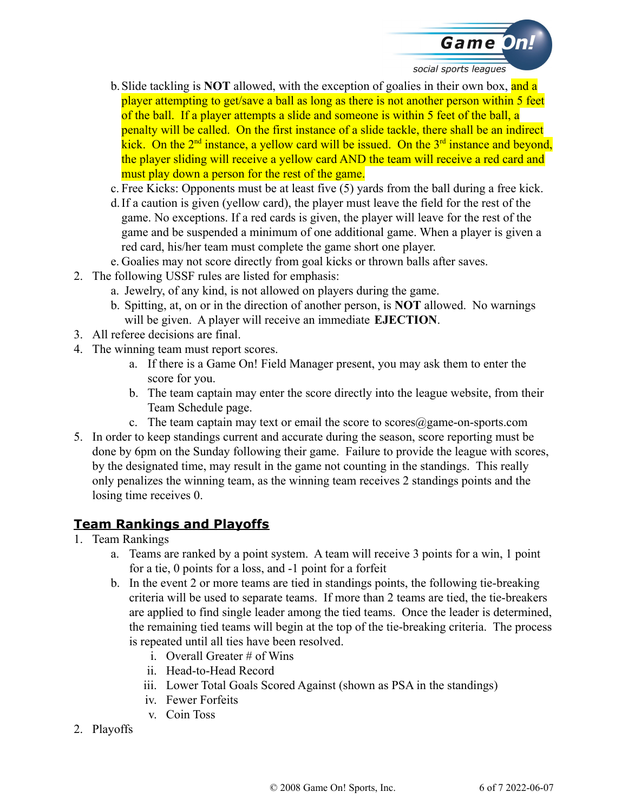

- b.Slide tackling is **NOT** allowed, with the exception of goalies in their own box, and a player attempting to get/save a ball as long as there is not another person within 5 feet of the ball. If a player attempts a slide and someone is within 5 feet of the ball, a penalty will be called. On the first instance of a slide tackle, there shall be an indirect kick. On the  $2<sup>nd</sup>$  instance, a yellow card will be issued. On the  $3<sup>rd</sup>$  instance and beyond, the player sliding will receive a yellow card AND the team will receive a red card and must play down a person for the rest of the game.
- c. Free Kicks: Opponents must be at least five (5) yards from the ball during a free kick.
- d.If a caution is given (yellow card), the player must leave the field for the rest of the game. No exceptions. If a red cards is given, the player will leave for the rest of the game and be suspended a minimum of one additional game. When a player is given a red card, his/her team must complete the game short one player.
- e. Goalies may not score directly from goal kicks or thrown balls after saves.
- 2. The following USSF rules are listed for emphasis:
	- a. Jewelry, of any kind, is not allowed on players during the game.
	- b. Spitting, at, on or in the direction of another person, is **NOT** allowed. No warnings will be given. A player will receive an immediate **EJECTION**.
- 3. All referee decisions are final.
- 4. The winning team must report scores.
	- a. If there is a Game On! Field Manager present, you may ask them to enter the score for you.
	- b. The team captain may enter the score directly into the league website, from their Team Schedule page.
	- c. The team captain may text or email the score to scores@game-on-sports.com
- 5. In order to keep standings current and accurate during the season, score reporting must be done by 6pm on the Sunday following their game. Failure to provide the league with scores, by the designated time, may result in the game not counting in the standings. This really only penalizes the winning team, as the winning team receives 2 standings points and the losing time receives 0.

#### **Team Rankings and Playoffs**

- 1. Team Rankings
	- a. Teams are ranked by a point system. A team will receive 3 points for a win, 1 point for a tie, 0 points for a loss, and -1 point for a forfeit
	- b. In the event 2 or more teams are tied in standings points, the following tie-breaking criteria will be used to separate teams. If more than 2 teams are tied, the tie-breakers are applied to find single leader among the tied teams. Once the leader is determined, the remaining tied teams will begin at the top of the tie-breaking criteria. The process is repeated until all ties have been resolved.
		- i. Overall Greater # of Wins
		- ii. Head-to-Head Record
		- iii. Lower Total Goals Scored Against (shown as PSA in the standings)
		- iv. Fewer Forfeits
		- v. Coin Toss
- 2. Playoffs